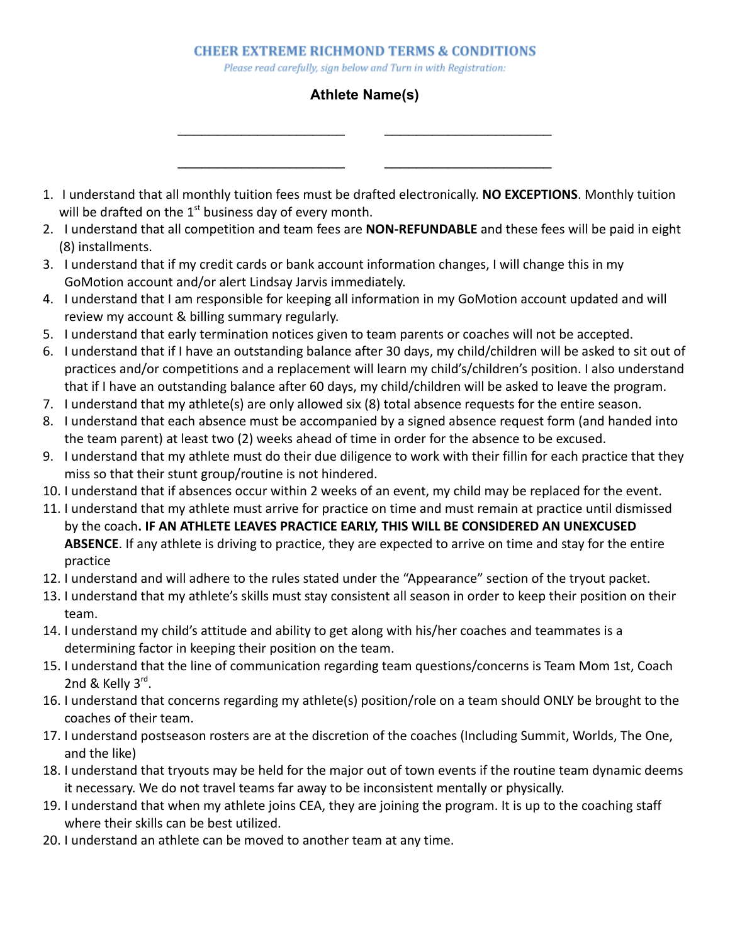Please read carefully, sign below and Turn in with Registration:

## **Athlete Name(s)**

\_\_\_\_\_\_\_\_\_\_\_\_\_\_\_\_\_\_\_\_\_ \_\_\_\_\_\_\_\_\_\_\_\_\_\_\_\_\_\_\_\_\_

\_\_\_\_\_\_\_\_\_\_\_\_\_\_\_\_\_\_\_\_\_ \_\_\_\_\_\_\_\_\_\_\_\_\_\_\_\_\_\_\_\_\_

- 1. I understand that all monthly tuition fees must be drafted electronically. **NO EXCEPTIONS**. Monthly tuition will be drafted on the  $1<sup>st</sup>$  business day of every month.
- 2. I understand that all competition and team fees are **NON-REFUNDABLE** and these fees will be paid in eight (8) installments.
- 3. I understand that if my credit cards or bank account information changes, I will change this in my GoMotion account and/or alert Lindsay Jarvis immediately.
- 4. I understand that I am responsible for keeping all information in my GoMotion account updated and will review my account & billing summary regularly.
- 5. I understand that early termination notices given to team parents or coaches will not be accepted.
- 6. I understand that if I have an outstanding balance after 30 days, my child/children will be asked to sit out of practices and/or competitions and a replacement will learn my child's/children's position. I also understand that if I have an outstanding balance after 60 days, my child/children will be asked to leave the program.
- 7. I understand that my athlete(s) are only allowed six (8) total absence requests for the entire season.
- 8. I understand that each absence must be accompanied by a signed absence request form (and handed into the team parent) at least two (2) weeks ahead of time in order for the absence to be excused.
- 9. I understand that my athlete must do their due diligence to work with their fillin for each practice that they miss so that their stunt group/routine is not hindered.
- 10. I understand that if absences occur within 2 weeks of an event, my child may be replaced for the event.
- 11. I understand that my athlete must arrive for practice on time and must remain at practice until dismissed by the coach**. IF AN ATHLETE LEAVES PRACTICE EARLY, THIS WILL BE CONSIDERED AN UNEXCUSED ABSENCE**. If any athlete is driving to practice, they are expected to arrive on time and stay for the entire practice
- 12. I understand and will adhere to the rules stated under the "Appearance" section of the tryout packet.
- 13. I understand that my athlete's skills must stay consistent all season in order to keep their position on their team.
- 14. I understand my child's attitude and ability to get along with his/her coaches and teammates is a determining factor in keeping their position on the team.
- 15. I understand that the line of communication regarding team questions/concerns is Team Mom 1st, Coach 2nd & Kelly 3<sup>rd</sup>.
- 16. I understand that concerns regarding my athlete(s) position/role on a team should ONLY be brought to the coaches of their team.
- 17. I understand postseason rosters are at the discretion of the coaches (Including Summit, Worlds, The One, and the like)
- 18. I understand that tryouts may be held for the major out of town events if the routine team dynamic deems it necessary. We do not travel teams far away to be inconsistent mentally or physically.
- 19. I understand that when my athlete joins CEA, they are joining the program. It is up to the coaching staff where their skills can be best utilized.
- 20. I understand an athlete can be moved to another team at any time.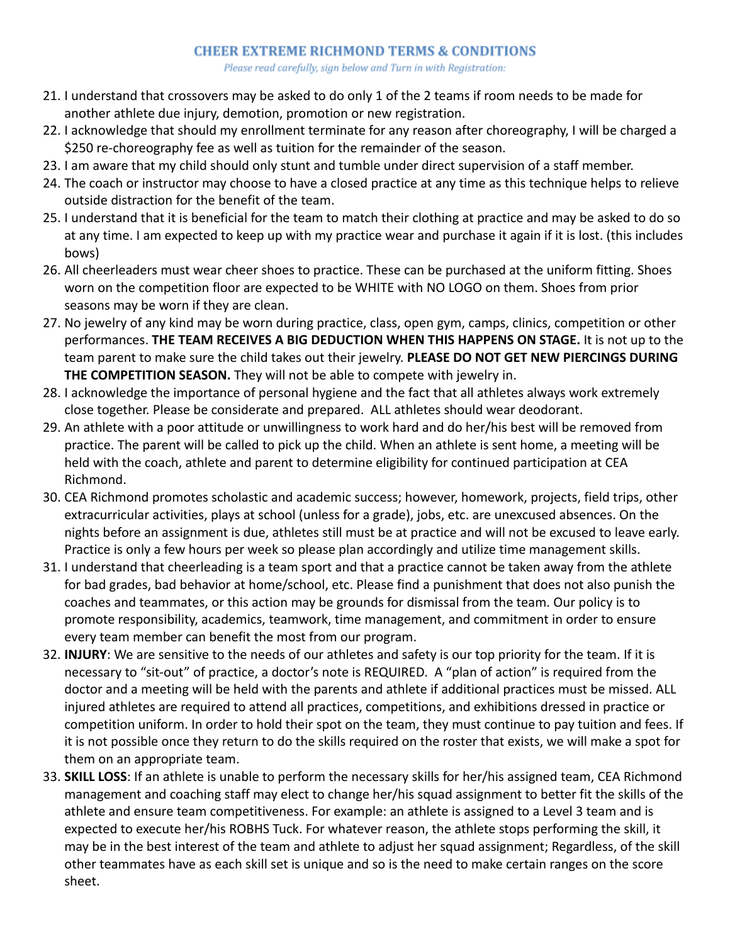Please read carefully, sign below and Turn in with Registration:

- 21. I understand that crossovers may be asked to do only 1 of the 2 teams if room needs to be made for another athlete due injury, demotion, promotion or new registration.
- 22. I acknowledge that should my enrollment terminate for any reason after choreography, I will be charged a \$250 re-choreography fee as well as tuition for the remainder of the season.
- 23. I am aware that my child should only stunt and tumble under direct supervision of a staff member.
- 24. The coach or instructor may choose to have a closed practice at any time as this technique helps to relieve outside distraction for the benefit of the team.
- 25. I understand that it is beneficial for the team to match their clothing at practice and may be asked to do so at any time. I am expected to keep up with my practice wear and purchase it again if it is lost. (this includes bows)
- 26. All cheerleaders must wear cheer shoes to practice. These can be purchased at the uniform fitting. Shoes worn on the competition floor are expected to be WHITE with NO LOGO on them. Shoes from prior seasons may be worn if they are clean.
- 27. No jewelry of any kind may be worn during practice, class, open gym, camps, clinics, competition or other performances. **THE TEAM RECEIVES A BIG DEDUCTION WHEN THIS HAPPENS ON STAGE.** It is not up to the team parent to make sure the child takes out their jewelry. **PLEASE DO NOT GET NEW PIERCINGS DURING THE COMPETITION SEASON.** They will not be able to compete with jewelry in.
- 28. I acknowledge the importance of personal hygiene and the fact that all athletes always work extremely close together. Please be considerate and prepared. ALL athletes should wear deodorant.
- 29. An athlete with a poor attitude or unwillingness to work hard and do her/his best will be removed from practice. The parent will be called to pick up the child. When an athlete is sent home, a meeting will be held with the coach, athlete and parent to determine eligibility for continued participation at CEA Richmond.
- 30. CEA Richmond promotes scholastic and academic success; however, homework, projects, field trips, other extracurricular activities, plays at school (unless for a grade), jobs, etc. are unexcused absences. On the nights before an assignment is due, athletes still must be at practice and will not be excused to leave early. Practice is only a few hours per week so please plan accordingly and utilize time management skills.
- 31. I understand that cheerleading is a team sport and that a practice cannot be taken away from the athlete for bad grades, bad behavior at home/school, etc. Please find a punishment that does not also punish the coaches and teammates, or this action may be grounds for dismissal from the team. Our policy is to promote responsibility, academics, teamwork, time management, and commitment in order to ensure every team member can benefit the most from our program.
- 32. **INJURY**: We are sensitive to the needs of our athletes and safety is our top priority for the team. If it is necessary to "sit-out" of practice, a doctor's note is REQUIRED. A "plan of action" is required from the doctor and a meeting will be held with the parents and athlete if additional practices must be missed. ALL injured athletes are required to attend all practices, competitions, and exhibitions dressed in practice or competition uniform. In order to hold their spot on the team, they must continue to pay tuition and fees. If it is not possible once they return to do the skills required on the roster that exists, we will make a spot for them on an appropriate team.
- 33. **SKILL LOSS**: If an athlete is unable to perform the necessary skills for her/his assigned team, CEA Richmond management and coaching staff may elect to change her/his squad assignment to better fit the skills of the athlete and ensure team competitiveness. For example: an athlete is assigned to a Level 3 team and is expected to execute her/his ROBHS Tuck. For whatever reason, the athlete stops performing the skill, it may be in the best interest of the team and athlete to adjust her squad assignment; Regardless, of the skill other teammates have as each skill set is unique and so is the need to make certain ranges on the score sheet.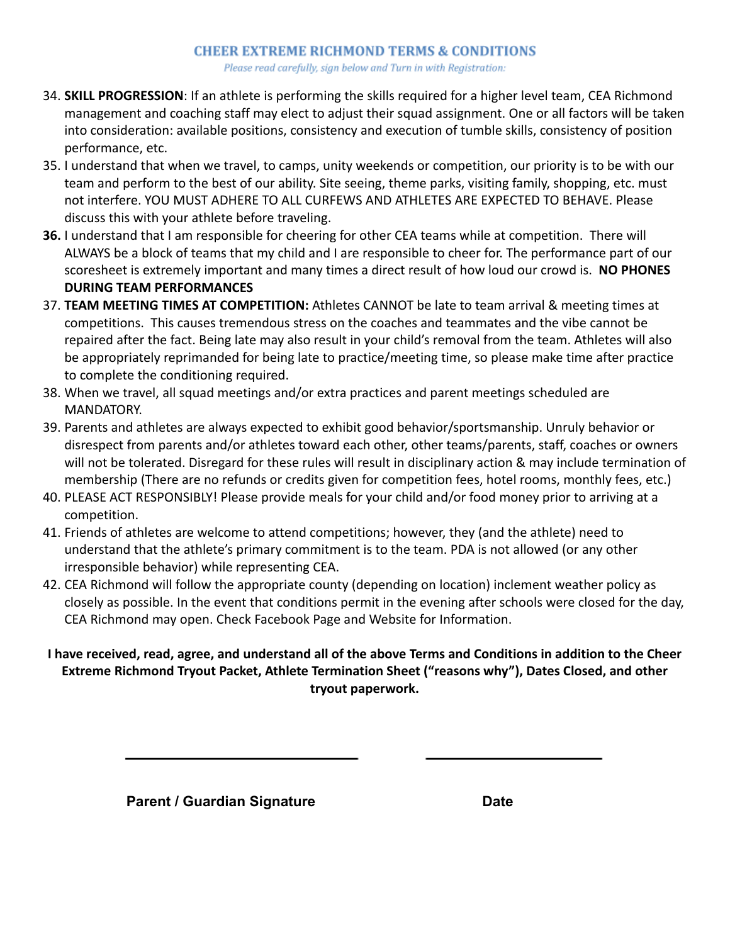Please read carefully, sign below and Turn in with Registration:

- 34. **SKILL PROGRESSION**: If an athlete is performing the skills required for a higher level team, CEA Richmond management and coaching staff may elect to adjust their squad assignment. One or all factors will be taken into consideration: available positions, consistency and execution of tumble skills, consistency of position performance, etc.
- 35. I understand that when we travel, to camps, unity weekends or competition, our priority is to be with our team and perform to the best of our ability. Site seeing, theme parks, visiting family, shopping, etc. must not interfere. YOU MUST ADHERE TO ALL CURFEWS AND ATHLETES ARE EXPECTED TO BEHAVE. Please discuss this with your athlete before traveling.
- **36.** I understand that I am responsible for cheering for other CEA teams while at competition. There will ALWAYS be a block of teams that my child and I are responsible to cheer for. The performance part of our scoresheet is extremely important and many times a direct result of how loud our crowd is. **NO PHONES DURING TEAM PERFORMANCES**
- 37. **TEAM MEETING TIMES AT COMPETITION:** Athletes CANNOT be late to team arrival & meeting times at competitions. This causes tremendous stress on the coaches and teammates and the vibe cannot be repaired after the fact. Being late may also result in your child's removal from the team. Athletes will also be appropriately reprimanded for being late to practice/meeting time, so please make time after practice to complete the conditioning required.
- 38. When we travel, all squad meetings and/or extra practices and parent meetings scheduled are MANDATORY.
- 39. Parents and athletes are always expected to exhibit good behavior/sportsmanship. Unruly behavior or disrespect from parents and/or athletes toward each other, other teams/parents, staff, coaches or owners will not be tolerated. Disregard for these rules will result in disciplinary action & may include termination of membership (There are no refunds or credits given for competition fees, hotel rooms, monthly fees, etc.)
- 40. PLEASE ACT RESPONSIBLY! Please provide meals for your child and/or food money prior to arriving at a competition.
- 41. Friends of athletes are welcome to attend competitions; however, they (and the athlete) need to understand that the athlete's primary commitment is to the team. PDA is not allowed (or any other irresponsible behavior) while representing CEA.
- 42. CEA Richmond will follow the appropriate county (depending on location) inclement weather policy as closely as possible. In the event that conditions permit in the evening after schools were closed for the day, CEA Richmond may open. Check Facebook Page and Website for Information.

## **I have received, read, agree, and understand all of the above Terms and Conditions in addition to the Cheer Extreme Richmond Tryout Packet, Athlete Termination Sheet ("reasons why"), Dates Closed, and other tryout paperwork.**

**Parent / Guardian Signature <b>Date Date**